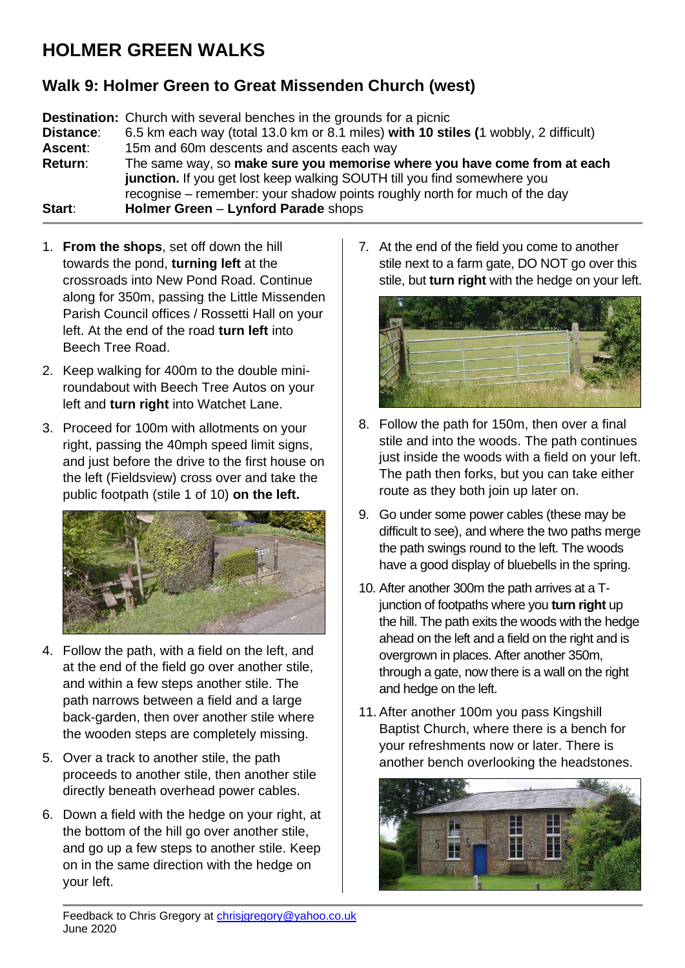## **HOLMER GREEN WALKS**

## **Walk 9: Holmer Green to Great Missenden Church (west)**

**Destination:** Church with several benches in the grounds for a picnic **Distance**: 6.5 km each way (total 13.0 km or 8.1 miles) **with 10 stiles (**1 wobbly, 2 difficult) **Ascent**: 15m and 60m descents and ascents each way **Return**: The same way, so **make sure you memorise where you have come from at each junction.** If you get lost keep walking SOUTH till you find somewhere you recognise – remember: your shadow points roughly north for much of the day **Start**: **Holmer Green** – **Lynford Parade** shops

- 1. **From the shops**, set off down the hill towards the pond, **turning left** at the crossroads into New Pond Road. Continue along for 350m, passing the Little Missenden Parish Council offices / Rossetti Hall on your left. At the end of the road **turn left** into Beech Tree Road.
- 2. Keep walking for 400m to the double miniroundabout with Beech Tree Autos on your left and **turn right** into Watchet Lane.
- 3. Proceed for 100m with allotments on your right, passing the 40mph speed limit signs, and just before the drive to the first house on the left (Fieldsview) cross over and take the public footpath (stile 1 of 10) **on the left.**



- 4. Follow the path, with a field on the left, and at the end of the field go over another stile, and within a few steps another stile. The path narrows between a field and a large back-garden, then over another stile where the wooden steps are completely missing.
- 5. Over a track to another stile, the path proceeds to another stile, then another stile directly beneath overhead power cables.
- 6. Down a field with the hedge on your right, at the bottom of the hill go over another stile, and go up a few steps to another stile. Keep on in the same direction with the hedge on your left.

7. At the end of the field you come to another stile next to a farm gate, DO NOT go over this stile, but **turn right** with the hedge on your left.



- 8. Follow the path for 150m, then over a final stile and into the woods. The path continues just inside the woods with a field on your left. The path then forks, but you can take either route as they both join up later on.
- 9. Go under some power cables (these may be difficult to see), and where the two paths merge the path swings round to the left. The woods have a good display of bluebells in the spring.
- 10. After another 300m the path arrives at a Tjunction of footpaths where you **turn right** up the hill. The path exits the woods with the hedge ahead on the left and a field on the right and is overgrown in places. After another 350m, through a gate, now there is a wall on the right and hedge on the left.
- 11. After another 100m you pass Kingshill Baptist Church, where there is a bench for your refreshments now or later. There is another bench overlooking the headstones.